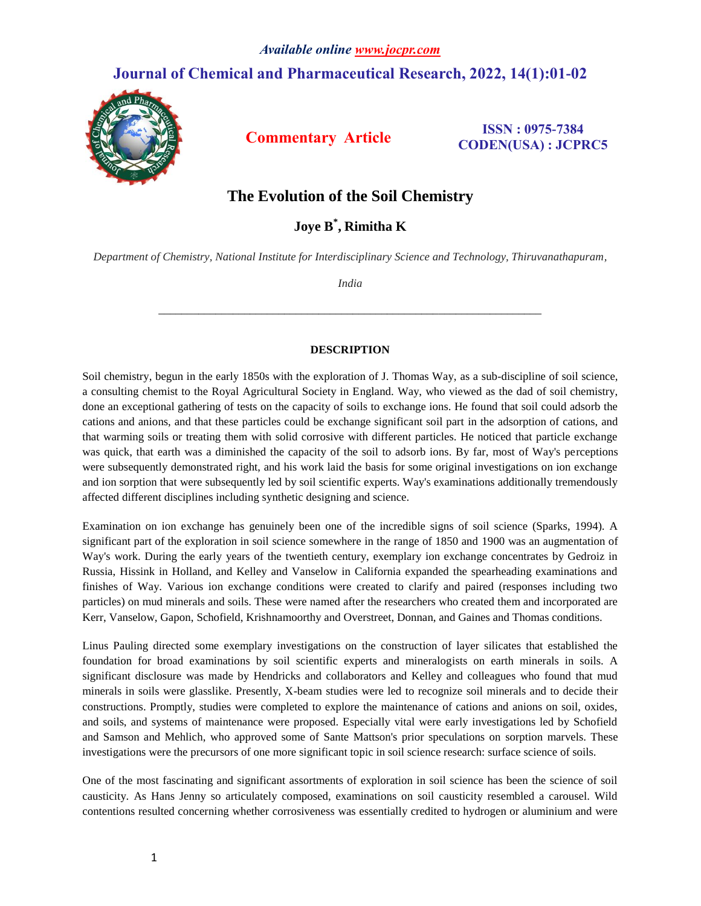## **Journal of Chemical and Pharmaceutical Research, 2022, 14(1):01-02**



**Commentary Article ISSN**: 0975-7384 **CODEN(USA) : JCPRC5**

## **The Evolution of the Soil Chemistry**

**Joye B \* , Rimitha K**

*Department of Chemistry, National Institute for Interdisciplinary Science and Technology, Thiruvanathapuram,* 

*India* 

*\_\_\_\_\_\_\_\_\_\_\_\_\_\_\_\_\_\_\_\_\_\_\_\_\_\_\_\_\_\_\_\_\_\_\_\_\_\_\_\_\_\_\_\_\_\_\_\_\_\_\_\_\_\_\_\_\_\_\_\_\_\_\_\_\_\_\_*

## **DESCRIPTION**

Soil chemistry, begun in the early 1850s with the exploration of J. Thomas Way, as a sub-discipline of soil science, a consulting chemist to the Royal Agricultural Society in England. Way, who viewed as the dad of soil chemistry, done an exceptional gathering of tests on the capacity of soils to exchange ions. He found that soil could adsorb the cations and anions, and that these particles could be exchange significant soil part in the adsorption of cations, and that warming soils or treating them with solid corrosive with different particles. He noticed that particle exchange was quick, that earth was a diminished the capacity of the soil to adsorb ions. By far, most of Way's perceptions were subsequently demonstrated right, and his work laid the basis for some original investigations on ion exchange and ion sorption that were subsequently led by soil scientific experts. Way's examinations additionally tremendously affected different disciplines including synthetic designing and science.

Examination on ion exchange has genuinely been one of the incredible signs of soil science (Sparks, 1994). A significant part of the exploration in soil science somewhere in the range of 1850 and 1900 was an augmentation of Way's work. During the early years of the twentieth century, exemplary ion exchange concentrates by Gedroiz in Russia, Hissink in Holland, and Kelley and Vanselow in California expanded the spearheading examinations and finishes of Way. Various ion exchange conditions were created to clarify and paired (responses including two particles) on mud minerals and soils. These were named after the researchers who created them and incorporated are Kerr, Vanselow, Gapon, Schofield, Krishnamoorthy and Overstreet, Donnan, and Gaines and Thomas conditions.

Linus Pauling directed some exemplary investigations on the construction of layer silicates that established the foundation for broad examinations by soil scientific experts and mineralogists on earth minerals in soils. A significant disclosure was made by Hendricks and collaborators and Kelley and colleagues who found that mud minerals in soils were glasslike. Presently, X-beam studies were led to recognize soil minerals and to decide their constructions. Promptly, studies were completed to explore the maintenance of cations and anions on soil, oxides, and soils, and systems of maintenance were proposed. Especially vital were early investigations led by Schofield and Samson and Mehlich, who approved some of Sante Mattson's prior speculations on sorption marvels. These investigations were the precursors of one more significant topic in soil science research: surface science of soils.

One of the most fascinating and significant assortments of exploration in soil science has been the science of soil causticity. As Hans Jenny so articulately composed, examinations on soil causticity resembled a carousel. Wild contentions resulted concerning whether corrosiveness was essentially credited to hydrogen or aluminium and were